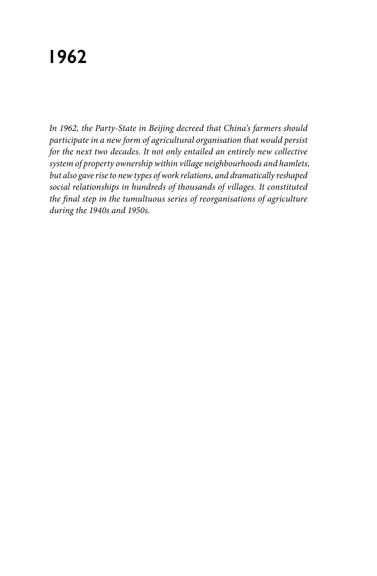# **1962**

*In 1962, the Party-State in Beijing decreed that China's farmers should participate in a new form of agricultural organisation that would persist for the next two decades. It not only entailed an entirely new collective system of property ownership within village neighbourhoods and hamlets, but also gave rise to new types of work relations, and dramatically reshaped social relationships in hundreds of thousands of villages. It constituted the final step in the tumultuous series of reorganisations of agriculture during the 1940s and 1950s.*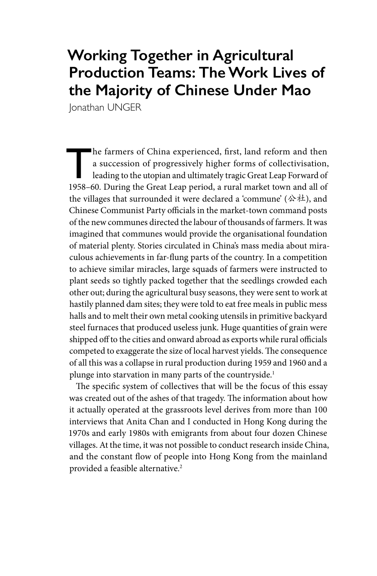## **Working Together in Agricultural Production Teams: The Work Lives of the Majority of Chinese Under Mao**

Jonathan UNGER

The farmers of China experienced, first, land reform and then<br>a succession of progressively higher forms of collectivisation,<br>leading to the utopian and ultimately tragic Great Leap Forward of<br>1958–60. During the Great Lea a succession of progressively higher forms of collectivisation, leading to the utopian and ultimately tragic Great Leap Forward of 1958–60. During the Great Leap period, a rural market town and all of the villages that surrounded it were declared a 'commune' (公社), and Chinese Communist Party officials in the market-town command posts of the new communes directed the labour of thousands of farmers. It was imagined that communes would provide the organisational foundation of material plenty. Stories circulated in China's mass media about miraculous achievements in far-flung parts of the country. In a competition to achieve similar miracles, large squads of farmers were instructed to plant seeds so tightly packed together that the seedlings crowded each other out; during the agricultural busy seasons, they were sent to work at hastily planned dam sites; they were told to eat free meals in public mess halls and to melt their own metal cooking utensils in primitive backyard steel furnaces that produced useless junk. Huge quantities of grain were shipped off to the cities and onward abroad as exports while rural officials competed to exaggerate the size of local harvest yields. The consequence of all this was a collapse in rural production during 1959 and 1960 and a plunge into starvation in many parts of the countryside.<sup>1</sup>

The specific system of collectives that will be the focus of this essay was created out of the ashes of that tragedy. The information about how it actually operated at the grassroots level derives from more than 100 interviews that Anita Chan and I conducted in Hong Kong during the 1970s and early 1980s with emigrants from about four dozen Chinese villages. At the time, it was not possible to conduct research inside China, and the constant flow of people into Hong Kong from the mainland provided a feasible alternative.<sup>2</sup>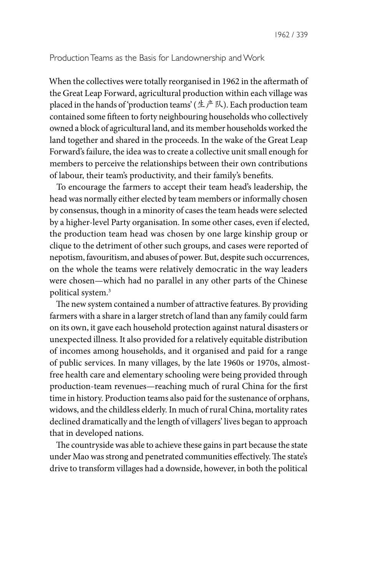#### Production Teams as the Basis for Landownership and Work

When the collectives were totally reorganised in 1962 in the aftermath of the Great Leap Forward, agricultural production within each village was placed in the hands of 'production teams' (生产队). Each production team contained some fifteen to forty neighbouring households who collectively owned a block of agricultural land, and its member households worked the land together and shared in the proceeds. In the wake of the Great Leap Forward's failure, the idea was to create a collective unit small enough for members to perceive the relationships between their own contributions of labour, their team's productivity, and their family's benefits.

To encourage the farmers to accept their team head's leadership, the head was normally either elected by team members or informally chosen by consensus, though in a minority of cases the team heads were selected by a higher-level Party organisation. In some other cases, even if elected, the production team head was chosen by one large kinship group or clique to the detriment of other such groups, and cases were reported of nepotism, favouritism, and abuses of power. But, despite such occurrences, on the whole the teams were relatively democratic in the way leaders were chosen—which had no parallel in any other parts of the Chinese political system.3

The new system contained a number of attractive features. By providing farmers with a share in a larger stretch of land than any family could farm on its own, it gave each household protection against natural disasters or unexpected illness. It also provided for a relatively equitable distribution of incomes among households, and it organised and paid for a range of public services. In many villages, by the late 1960s or 1970s, almostfree health care and elementary schooling were being provided through production-team revenues—reaching much of rural China for the first time in history. Production teams also paid for the sustenance of orphans, widows, and the childless elderly. In much of rural China, mortality rates declined dramatically and the length of villagers' lives began to approach that in developed nations.

The countryside was able to achieve these gains in part because the state under Mao was strong and penetrated communities effectively. The state's drive to transform villages had a downside, however, in both the political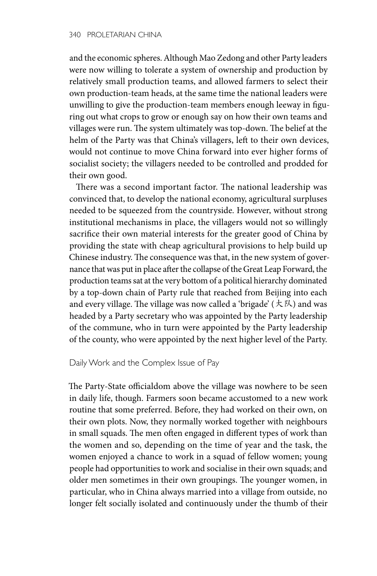and the economic spheres. Although Mao Zedong and other Party leaders were now willing to tolerate a system of ownership and production by relatively small production teams, and allowed farmers to select their own production-team heads, at the same time the national leaders were unwilling to give the production-team members enough leeway in figuring out what crops to grow or enough say on how their own teams and villages were run. The system ultimately was top-down. The belief at the helm of the Party was that China's villagers, left to their own devices, would not continue to move China forward into ever higher forms of socialist society; the villagers needed to be controlled and prodded for their own good.

There was a second important factor. The national leadership was convinced that, to develop the national economy, agricultural surpluses needed to be squeezed from the countryside. However, without strong institutional mechanisms in place, the villagers would not so willingly sacrifice their own material interests for the greater good of China by providing the state with cheap agricultural provisions to help build up Chinese industry. The consequence was that, in the new system of governance that was put in place after the collapse of the Great Leap Forward, the production teams sat at the very bottom of a political hierarchy dominated by a top-down chain of Party rule that reached from Beijing into each and every village. The village was now called a 'brigade' (大队) and was headed by a Party secretary who was appointed by the Party leadership of the commune, who in turn were appointed by the Party leadership of the county, who were appointed by the next higher level of the Party.

### Daily Work and the Complex Issue of Pay

The Party-State officialdom above the village was nowhere to be seen in daily life, though. Farmers soon became accustomed to a new work routine that some preferred. Before, they had worked on their own, on their own plots. Now, they normally worked together with neighbours in small squads. The men often engaged in different types of work than the women and so, depending on the time of year and the task, the women enjoyed a chance to work in a squad of fellow women; young people had opportunities to work and socialise in their own squads; and older men sometimes in their own groupings. The younger women, in particular, who in China always married into a village from outside, no longer felt socially isolated and continuously under the thumb of their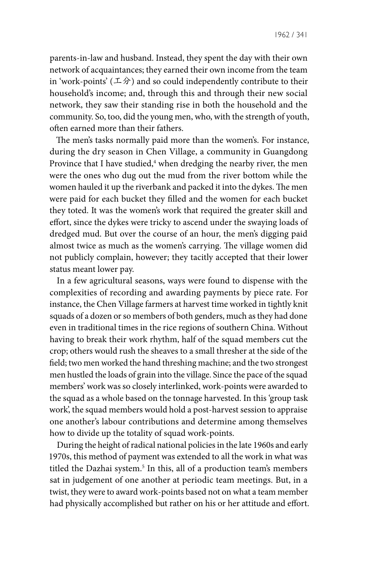1962 / 341

parents-in-law and husband. Instead, they spent the day with their own network of acquaintances; they earned their own income from the team in 'work-points' (エ分) and so could independently contribute to their household's income; and, through this and through their new social network, they saw their standing rise in both the household and the community. So, too, did the young men, who, with the strength of youth, often earned more than their fathers.

The men's tasks normally paid more than the women's. For instance, during the dry season in Chen Village, a community in Guangdong Province that I have studied,<sup>4</sup> when dredging the nearby river, the men were the ones who dug out the mud from the river bottom while the women hauled it up the riverbank and packed it into the dykes. The men were paid for each bucket they filled and the women for each bucket they toted. It was the women's work that required the greater skill and effort, since the dykes were tricky to ascend under the swaying loads of dredged mud. But over the course of an hour, the men's digging paid almost twice as much as the women's carrying. The village women did not publicly complain, however; they tacitly accepted that their lower status meant lower pay.

In a few agricultural seasons, ways were found to dispense with the complexities of recording and awarding payments by piece rate. For instance, the Chen Village farmers at harvest time worked in tightly knit squads of a dozen or so members of both genders, much as they had done even in traditional times in the rice regions of southern China. Without having to break their work rhythm, half of the squad members cut the crop; others would rush the sheaves to a small thresher at the side of the field; two men worked the hand threshing machine; and the two strongest men hustled the loads of grain into the village. Since the pace of the squad members' work was so closely interlinked, work-points were awarded to the squad as a whole based on the tonnage harvested. In this 'group task work', the squad members would hold a post-harvest session to appraise one another's labour contributions and determine among themselves how to divide up the totality of squad work-points.

During the height of radical national policies in the late 1960s and early 1970s, this method of payment was extended to all the work in what was titled the Dazhai system.<sup>5</sup> In this, all of a production team's members sat in judgement of one another at periodic team meetings. But, in a twist, they were to award work-points based not on what a team member had physically accomplished but rather on his or her attitude and effort.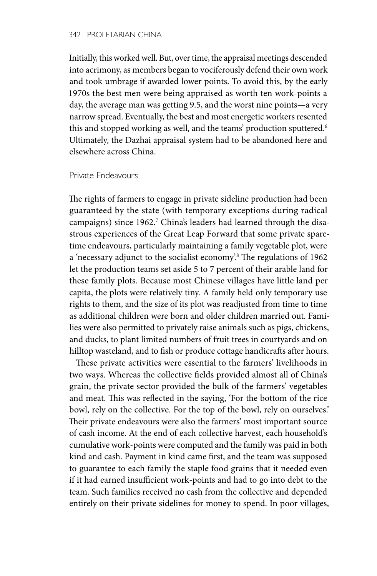Initially, this worked well. But, over time, the appraisal meetings descended into acrimony, as members began to vociferously defend their own work and took umbrage if awarded lower points. To avoid this, by the early 1970s the best men were being appraised as worth ten work-points a day, the average man was getting 9.5, and the worst nine points—a very narrow spread. Eventually, the best and most energetic workers resented this and stopped working as well, and the teams' production sputtered.<sup>6</sup> Ultimately, the Dazhai appraisal system had to be abandoned here and elsewhere across China.

#### Private Endeavours

The rights of farmers to engage in private sideline production had been guaranteed by the state (with temporary exceptions during radical campaigns) since 1962.<sup>7</sup> China's leaders had learned through the disastrous experiences of the Great Leap Forward that some private sparetime endeavours, particularly maintaining a family vegetable plot, were a 'necessary adjunct to the socialist economy'.8 The regulations of 1962 let the production teams set aside 5 to 7 percent of their arable land for these family plots. Because most Chinese villages have little land per capita, the plots were relatively tiny. A family held only temporary use rights to them, and the size of its plot was readjusted from time to time as additional children were born and older children married out. Families were also permitted to privately raise animals such as pigs, chickens, and ducks, to plant limited numbers of fruit trees in courtyards and on hilltop wasteland, and to fish or produce cottage handicrafts after hours.

These private activities were essential to the farmers' livelihoods in two ways. Whereas the collective fields provided almost all of China's grain, the private sector provided the bulk of the farmers' vegetables and meat. This was reflected in the saying, 'For the bottom of the rice bowl, rely on the collective. For the top of the bowl, rely on ourselves.' Their private endeavours were also the farmers' most important source of cash income. At the end of each collective harvest, each household's cumulative work-points were computed and the family was paid in both kind and cash. Payment in kind came first, and the team was supposed to guarantee to each family the staple food grains that it needed even if it had earned insufficient work-points and had to go into debt to the team. Such families received no cash from the collective and depended entirely on their private sidelines for money to spend. In poor villages,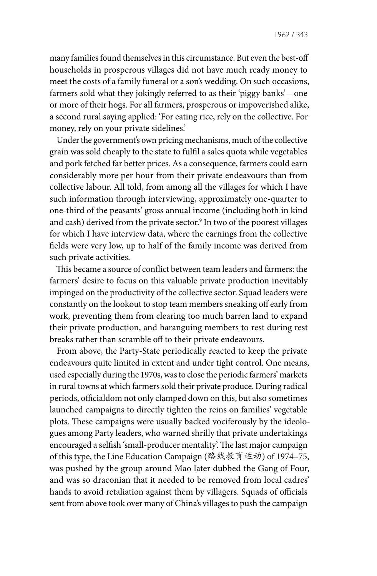many families found themselves in this circumstance. But even the best-off households in prosperous villages did not have much ready money to meet the costs of a family funeral or a son's wedding. On such occasions, farmers sold what they jokingly referred to as their 'piggy banks'—one or more of their hogs. For all farmers, prosperous or impoverished alike, a second rural saying applied: 'For eating rice, rely on the collective. For money, rely on your private sidelines.'

Under the government's own pricing mechanisms, much of the collective grain was sold cheaply to the state to fulfil a sales quota while vegetables and pork fetched far better prices. As a consequence, farmers could earn considerably more per hour from their private endeavours than from collective labour. All told, from among all the villages for which I have such information through interviewing, approximately one-quarter to one-third of the peasants' gross annual income (including both in kind and cash) derived from the private sector.<sup>9</sup> In two of the poorest villages for which I have interview data, where the earnings from the collective fields were very low, up to half of the family income was derived from such private activities.

This became a source of conflict between team leaders and farmers: the farmers' desire to focus on this valuable private production inevitably impinged on the productivity of the collective sector. Squad leaders were constantly on the lookout to stop team members sneaking off early from work, preventing them from clearing too much barren land to expand their private production, and haranguing members to rest during rest breaks rather than scramble off to their private endeavours.

From above, the Party-State periodically reacted to keep the private endeavours quite limited in extent and under tight control. One means, used especially during the 1970s, was to close the periodic farmers' markets in rural towns at which farmers sold their private produce. During radical periods, officialdom not only clamped down on this, but also sometimes launched campaigns to directly tighten the reins on families' vegetable plots. These campaigns were usually backed vociferously by the ideologues among Party leaders, who warned shrilly that private undertakings encouraged a selfish 'small-producer mentality'. The last major campaign of this type, the Line Education Campaign (路线教育运动) of 1974–75, was pushed by the group around Mao later dubbed the Gang of Four, and was so draconian that it needed to be removed from local cadres' hands to avoid retaliation against them by villagers. Squads of officials sent from above took over many of China's villages to push the campaign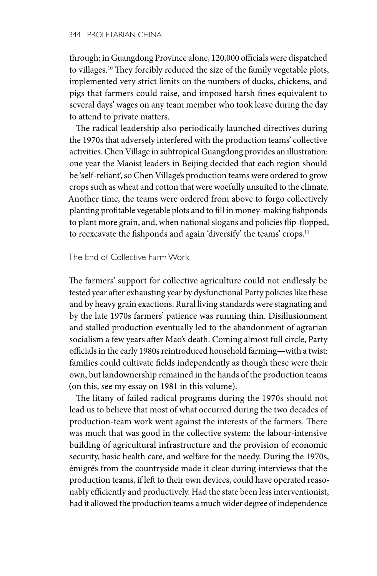through; in Guangdong Province alone, 120,000 officials were dispatched to villages.<sup>10</sup> They forcibly reduced the size of the family vegetable plots, implemented very strict limits on the numbers of ducks, chickens, and pigs that farmers could raise, and imposed harsh fines equivalent to several days' wages on any team member who took leave during the day to attend to private matters.

The radical leadership also periodically launched directives during the 1970s that adversely interfered with the production teams' collective activities. Chen Village in subtropical Guangdong provides an illustration: one year the Maoist leaders in Beijing decided that each region should be 'self-reliant', so Chen Village's production teams were ordered to grow crops such as wheat and cotton that were woefully unsuited to the climate. Another time, the teams were ordered from above to forgo collectively planting profitable vegetable plots and to fill in money-making fishponds to plant more grain, and, when national slogans and policies flip-flopped, to reexcavate the fishponds and again 'diversify' the teams' crops.11

#### The End of Collective Farm Work

The farmers' support for collective agriculture could not endlessly be tested year after exhausting year by dysfunctional Party policies like these and by heavy grain exactions. Rural living standards were stagnating and by the late 1970s farmers' patience was running thin. Disillusionment and stalled production eventually led to the abandonment of agrarian socialism a few years after Mao's death. Coming almost full circle, Party officials in the early 1980s reintroduced household farming—with a twist: families could cultivate fields independently as though these were their own, but landownership remained in the hands of the production teams (on this, see my essay on 1981 in this volume).

The litany of failed radical programs during the 1970s should not lead us to believe that most of what occurred during the two decades of production-team work went against the interests of the farmers. There was much that was good in the collective system: the labour-intensive building of agricultural infrastructure and the provision of economic security, basic health care, and welfare for the needy. During the 1970s, émigrés from the countryside made it clear during interviews that the production teams, if left to their own devices, could have operated reasonably efficiently and productively. Had the state been less interventionist, had it allowed the production teams a much wider degree of independence